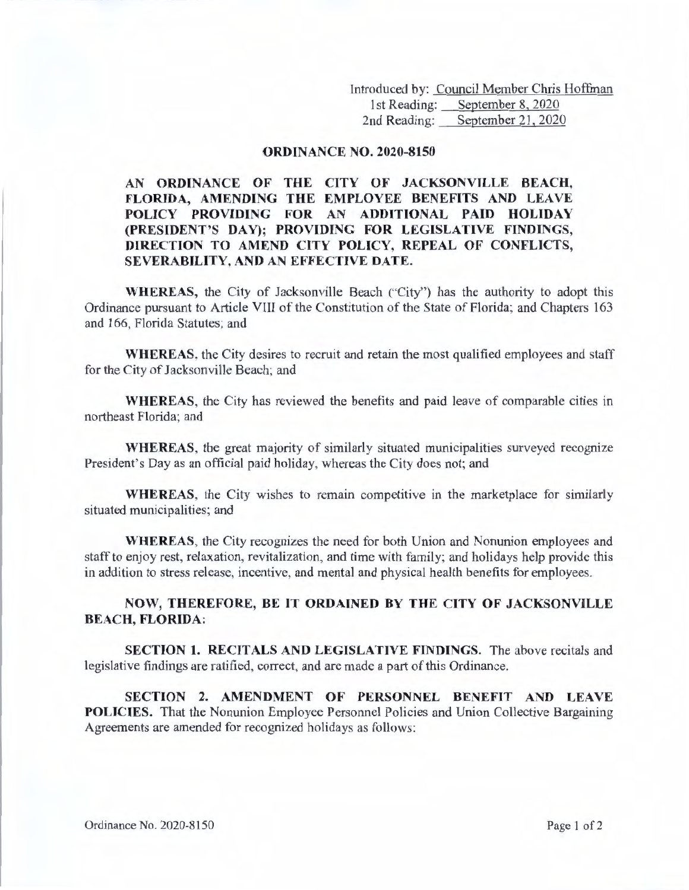Introduced by: Council Member Chris Hoffman 1st Reading: September 8, 2020<br>2nd Reading: September 21, 2020 September 21, 2020

## **ORDINANCE NO. 2020-8150**

## **AN ORDINANCE OF THE CITY OF JACKSONVILLE BEACH, FLORIDA, AMENDING THE EMPLOYEE BENEFITS AND LEAVE POLICY PROVIDING FOR AN ADDITIONAL PAID HOLIDAY (PRESIDENT'S DAY); PROVIDING FOR LEGISLATIVE FINDINGS, DIRECTION TO AMEND CITY POLICY, REPEAL OF CONFLICTS, SEVERABILITY, AND AN EFFECTIVE DATE.**

**WHEREAS,** the City of Jacksonville Beach ("City") has the authority to adopt this Ordinance pursuant to Article VIII of the Constitution of the State of Florida; and Chapters 163 and 166, Florida Statutes; and

**WHEREAS,** the City desires to recruit and retain the most qualified employees and staff for the City of Jacksonville Beach; and

**WHEREAS,** the City has reviewed the benefits and paid leave of comparable cities in northeast Florida; and

**WHEREAS,** the great majority of similarly situated municipalities surveyed recognize President's Day as an official paid holiday, whereas the City does not; and

**WHEREAS,** the City wishes to remain competitive in the marketplace for similarly situated municipalities; and

**WHEREAS,** the City recognizes the need for both Union and Nonunion employees and staff to enjoy rest, relaxation, revitalization, and time with family; and holidays help provide this in addition to stress release, incentive, and mental and physical health benefits for employees.

## **NOW, THEREFORE, BE IT ORDAINED BY THE CITY OF JACKSONVILLE BEACH, FLORIDA:**

**SECTION 1. RECITALS AND LEGISLATIVE FINDINGS.** The above recitals and legislative findings are ratified, correct, and are made a part of this Ordinance.

**SECTION 2. AMENDMENT OF PERSONNEL BENEFIT AND LEAVE POLICIES.** That the Nonunion Employee Personnel Policies and Union Collective Bargaining Agreements are amended for recognized holidays as follows: